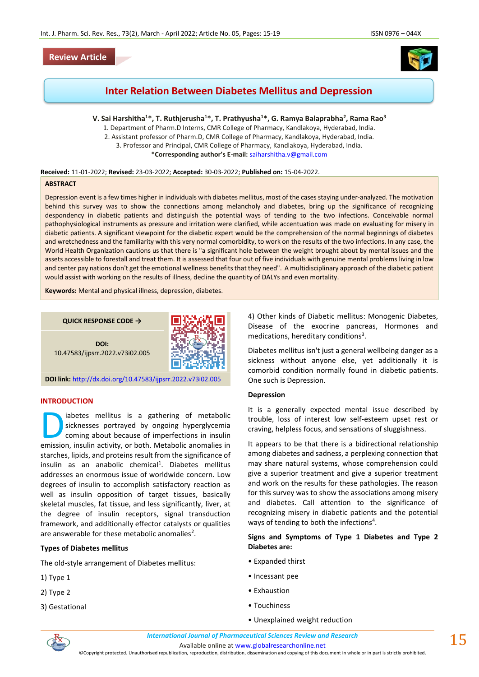# **Review Article**



# **Inter Relation Between Diabetes Mellitus and Depression**

**V. Sai Harshitha<sup>1</sup>\*, T. Ruthjerusha<sup>1</sup>\*, T. Prathyusha<sup>1</sup>\*, G. Ramya Balaprabha<sup>2</sup> , Rama Rao<sup>3</sup>** 

1. Department of Pharm.D Interns, CMR College of Pharmacy, Kandlakoya, Hyderabad, India.

2. Assistant professor of Pharm.D, CMR College of Pharmacy, Kandlakoya, Hyderabad, India. 3. Professor and Principal, CMR College of Pharmacy, Kandlakoya, Hyderabad, India.

**\*Corresponding author's E-mail:** [saiharshitha.v@gmail.com](mailto:saiharshitha.v@gmail.com)

#### **Received:** 11-01-2022; **Revised:** 23-03-2022; **Accepted:** 30-03-2022; **Published on:** 15-04-2022.

### **ABSTRACT**

Depression event is a few times higher in individuals with diabetes mellitus, most of the cases staying under-analyzed. The motivation behind this survey was to show the connections among melancholy and diabetes, bring up the significance of recognizing despondency in diabetic patients and distinguish the potential ways of tending to the two infections. Conceivable normal pathophysiological instruments as pressure and irritation were clarified, while accentuation was made on evaluating for misery in diabetic patients. A significant viewpoint for the diabetic expert would be the comprehension of the normal beginnings of diabetes and wretchedness and the familiarity with this very normal comorbidity, to work on the results of the two infections. In any case, the World Health Organization cautions us that there is "a significant hole between the weight brought about by mental issues and the assets accessible to forestall and treat them. It is assessed that four out of five individuals with genuine mental problems living in low and center pay nations don't get the emotional wellness benefits that they need". A multidisciplinary approach of the diabetic patient would assist with working on the results of illness, decline the quantity of DALYs and even mortality.

**Keywords:** Mental and physical illness, depression, diabetes.





**DOI:** 10.47583/ijpsrr.2022.v73i02.005

**DOI link:** <http://dx.doi.org/10.47583/ijpsrr.2022.v73i02.005>

#### **INTRODUCTION**

iabetes mellitus is a gathering of metabolic sicknesses portrayed by ongoing hyperglycemia coming about because of imperfections in insulin abetes mellitus is a gathering of metabolic sicknesses portrayed by ongoing hyperglycemia coming about because of imperfections in insulin emission, insulin activity, or both. Metabolic anomalies in starches, lipids, and proteins result from the significance of insulin as an anabolic chemical<sup>1</sup>. Diabetes mellitus addresses an enormous issue of worldwide concern. Low degrees of insulin to accomplish satisfactory reaction as well as insulin opposition of target tissues, basically skeletal muscles, fat tissue, and less significantly, liver, at the degree of insulin receptors, signal transduction framework, and additionally effector catalysts or qualities are answerable for these metabolic anomalies<sup>2</sup>.

#### **Types of Diabetes mellitus**

The old-style arrangement of Diabetes mellitus:

- 1) Type 1
- 2) Type 2
- 3) Gestational

4) Other kinds of Diabetic mellitus: Monogenic Diabetes, Disease of the exocrine pancreas, Hormones and medications, hereditary conditions<sup>3</sup>.

Diabetes mellitus isn't just a general wellbeing danger as a sickness without anyone else, yet additionally it is comorbid condition normally found in diabetic patients. One such is Depression.

#### **Depression**

It is a generally expected mental issue described by trouble, loss of interest low self-esteem upset rest or craving, helpless focus, and sensations of sluggishness.

It appears to be that there is a bidirectional relationship among diabetes and sadness, a perplexing connection that may share natural systems, whose comprehension could give a superior treatment and give a superior treatment and work on the results for these pathologies. The reason for this survey was to show the associations among misery and diabetes. Call attention to the significance of recognizing misery in diabetic patients and the potential ways of tending to both the infections<sup>4</sup>.

**Signs and Symptoms of Type 1 Diabetes and Type 2 Diabetes are:**

- Expanded thirst
- Incessant pee
- Exhaustion
- Touchiness
- Unexplained weight reduction



 $15$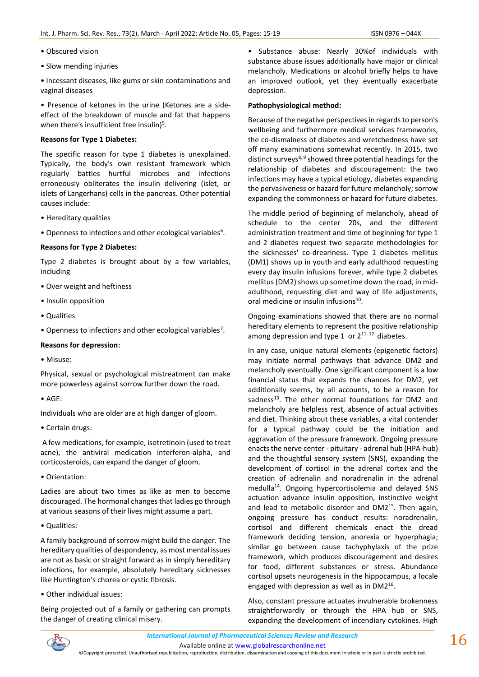- Obscured vision
- Slow mending injuries
- Incessant diseases, like gums or skin contaminations and vaginal diseases

• Presence of ketones in the urine (Ketones are a sideeffect of the breakdown of muscle and fat that happens when there's insufficient free insulin) $5$ .

## **Reasons for Type 1 Diabetes:**

The specific reason for type 1 diabetes is unexplained. Typically, the body's own resistant framework which regularly battles hurtful microbes and infections erroneously obliterates the insulin delivering (islet, or islets of Langerhans) cells in the pancreas. Other potential causes include:

- Hereditary qualities
- Openness to infections and other ecological variables<sup>6</sup>.

## **Reasons for Type 2 Diabetes:**

Type 2 diabetes is brought about by a few variables, including

- Over weight and heftiness
- Insulin opposition
- Qualities
- Openness to infections and other ecological variables<sup>7</sup>.

#### **Reasons for depression:**

• Misuse:

Physical, sexual or psychological mistreatment can make more powerless against sorrow further down the road.

• AGE:

Individuals who are older are at high danger of gloom.

• Certain drugs:

A few medications, for example, isotretinoin (used to treat acne), the antiviral medication interferon-alpha, and corticosteroids, can expand the danger of gloom.

• Orientation:

Ladies are about two times as like as men to become discouraged. The hormonal changes that ladies go through at various seasons of their lives might assume a part.

• Qualities:

A family background of sorrow might build the danger. The hereditary qualities of despondency, as most mental issues are not as basic or straight forward as in simply hereditary infections, for example, absolutely hereditary sicknesses like Huntington's chorea or cystic fibrosis.

• Other individual issues:

Being projected out of a family or gathering can prompts the danger of creating clinical misery.

• Substance abuse: Nearly 30%of individuals with substance abuse issues additionally have major or clinical melancholy. Medications or alcohol briefly helps to have an improved outlook, yet they eventually exacerbate depression.

## **Pathophysiological method:**

Because of the negative perspectives in regards to person's wellbeing and furthermore medical services frameworks, the co-dismalness of diabetes and wretchedness have set off many examinations somewhat recently. In 2015, two distinct surveys $8, 9$  showed three potential headings for the relationship of diabetes and discouragement: the two infections may have a typical etiology, diabetes expanding the pervasiveness or hazard for future melancholy; sorrow expanding the commonness or hazard for future diabetes.

The middle period of beginning of melancholy, ahead of schedule to the center 20s, and the different administration treatment and time of beginning for type 1 and 2 diabetes request two separate methodologies for the sicknesses' co-dreariness. Type 1 diabetes mellitus (DM1) shows up in youth and early adulthood requesting every day insulin infusions forever, while type 2 diabetes mellitus (DM2) shows up sometime down the road, in midadulthood, requesting diet and way of life adjustments, oral medicine or insulin infusions<sup>10</sup>.

Ongoing examinations showed that there are no normal hereditary elements to represent the positive relationship among depression and type 1 or  $2^{11,12}$  diabetes.

In any case, unique natural elements (epigenetic factors) may initiate normal pathways that advance DM2 and melancholy eventually. One significant component is a low financial status that expands the chances for DM2, yet additionally seems, by all accounts, to be a reason for sadness<sup>13</sup>. The other normal foundations for DM2 and melancholy are helpless rest, absence of actual activities and diet. Thinking about these variables, a vital contender for a typical pathway could be the initiation and aggravation of the pressure framework. Ongoing pressure enacts the nerve center - pituitary - adrenal hub (HPA-hub) and the thoughtful sensory system (SNS), expanding the development of cortisol in the adrenal cortex and the creation of adrenalin and noradrenalin in the adrenal medulla<sup>14</sup>. Ongoing hypercortisolemia and delayed SNS actuation advance insulin opposition, instinctive weight and lead to metabolic disorder and DM2<sup>15</sup>. Then again, ongoing pressure has conduct results: noradrenalin, cortisol and different chemicals enact the dread framework deciding tension, anorexia or hyperphagia; similar go between cause tachyphylaxis of the prize framework, which produces discouragement and desires for food, different substances or stress. Abundance cortisol upsets neurogenesis in the hippocampus, a locale engaged with depression as well as in DM2<sup>16</sup>.

Also, constant pressure actuates invulnerable brokenness straightforwardly or through the HPA hub or SNS, expanding the development of incendiary cytokines. High

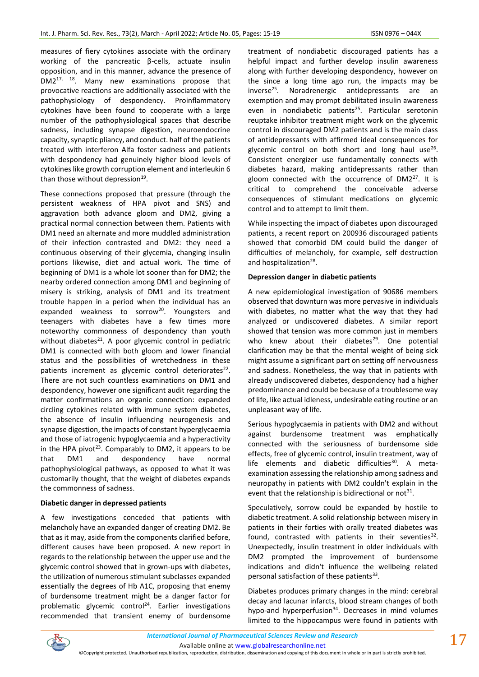measures of fiery cytokines associate with the ordinary working of the pancreatic β-cells, actuate insulin opposition, and in this manner, advance the presence of DM217, 18. Many new examinations propose that provocative reactions are additionally associated with the pathophysiology of despondency. Proinflammatory cytokines have been found to cooperate with a large number of the pathophysiological spaces that describe sadness, including synapse digestion, neuroendocrine capacity, synaptic pliancy, and conduct. half of the patients treated with interferon Alfa foster sadness and patients with despondency had genuinely higher blood levels of cytokines like growth corruption element and interleukin 6 than those without depression<sup>19</sup>.

These connections proposed that pressure (through the persistent weakness of HPA pivot and SNS) and aggravation both advance gloom and DM2, giving a practical normal connection between them. Patients with DM1 need an alternate and more muddled administration of their infection contrasted and DM2: they need a continuous observing of their glycemia, changing insulin portions likewise, diet and actual work. The time of beginning of DM1 is a whole lot sooner than for DM2; the nearby ordered connection among DM1 and beginning of misery is striking, analysis of DM1 and its treatment trouble happen in a period when the individual has an expanded weakness to sorrow<sup>20</sup>. Youngsters and teenagers with diabetes have a few times more noteworthy commonness of despondency than youth without diabetes $^{21}$ . A poor glycemic control in pediatric DM1 is connected with both gloom and lower financial status and the possibilities of wretchedness in these patients increment as glycemic control deteriorates<sup>22</sup>. There are not such countless examinations on DM1 and despondency, however one significant audit regarding the matter confirmations an organic connection: expanded circling cytokines related with immune system diabetes, the absence of insulin influencing neurogenesis and synapse digestion, the impacts of constant hyperglycaemia and those of iatrogenic hypoglycaemia and a hyperactivity in the HPA pivot<sup>23</sup>. Comparably to DM2, it appears to be that DM1 and despondency have normal pathophysiological pathways, as opposed to what it was customarily thought, that the weight of diabetes expands the commonness of sadness.

## **Diabetic danger in depressed patients**

A few investigations conceded that patients with melancholy have an expanded danger of creating DM2. Be that as it may, aside from the components clarified before, different causes have been proposed. A new report in regards to the relationship between the upper use and the glycemic control showed that in grown-ups with diabetes, the utilization of numerous stimulant subclasses expanded essentially the degrees of Hb A1C, proposing that enemy of burdensome treatment might be a danger factor for problematic glycemic control<sup>24</sup>. Earlier investigations recommended that transient enemy of burdensome treatment of nondiabetic discouraged patients has a helpful impact and further develop insulin awareness along with further developing despondency, however on the since a long time ago run, the impacts may be inverse<sup>25</sup>. Noradrenergic antidepressants are an exemption and may prompt debilitated insulin awareness even in nondiabetic patients<sup>25</sup>. Particular serotonin reuptake inhibitor treatment might work on the glycemic control in discouraged DM2 patients and is the main class of antidepressants with affirmed ideal consequences for glycemic control on both short and long haul use<sup>26</sup>. Consistent energizer use fundamentally connects with diabetes hazard, making antidepressants rather than gloom connected with the occurrence of  $DM2^{27}$ . It is critical to comprehend the conceivable adverse consequences of stimulant medications on glycemic control and to attempt to limit them.

While inspecting the impact of diabetes upon discouraged patients, a recent report on 200936 discouraged patients showed that comorbid DM could build the danger of difficulties of melancholy, for example, self destruction and hospitalization<sup>28</sup>.

## **Depression danger in diabetic patients**

A new epidemiological investigation of 90686 members observed that downturn was more pervasive in individuals with diabetes, no matter what the way that they had analyzed or undiscovered diabetes. A similar report showed that tension was more common just in members who knew about their diabetes<sup>29</sup>. One potential clarification may be that the mental weight of being sick might assume a significant part on setting off nervousness and sadness. Nonetheless, the way that in patients with already undiscovered diabetes, despondency had a higher predominance and could be because of a troublesome way of life, like actual idleness, undesirable eating routine or an unpleasant way of life.

Serious hypoglycaemia in patients with DM2 and without against burdensome treatment was emphatically connected with the seriousness of burdensome side effects, free of glycemic control, insulin treatment, way of life elements and diabetic difficulties $30$ . A metaexamination assessing the relationship among sadness and neuropathy in patients with DM2 couldn't explain in the event that the relationship is bidirectional or not<sup>31</sup>.

Speculatively, sorrow could be expanded by hostile to diabetic treatment. A solid relationship between misery in patients in their forties with orally treated diabetes was found, contrasted with patients in their seventies<sup>32</sup>. Unexpectedly, insulin treatment in older individuals with DM2 prompted the improvement of burdensome indications and didn't influence the wellbeing related personal satisfaction of these patients<sup>33</sup>.

Diabetes produces primary changes in the mind: cerebral decay and lacunar infarcts, blood stream changes of both hypo-and hyperperfusion $34$ . Decreases in mind volumes limited to the hippocampus were found in patients with

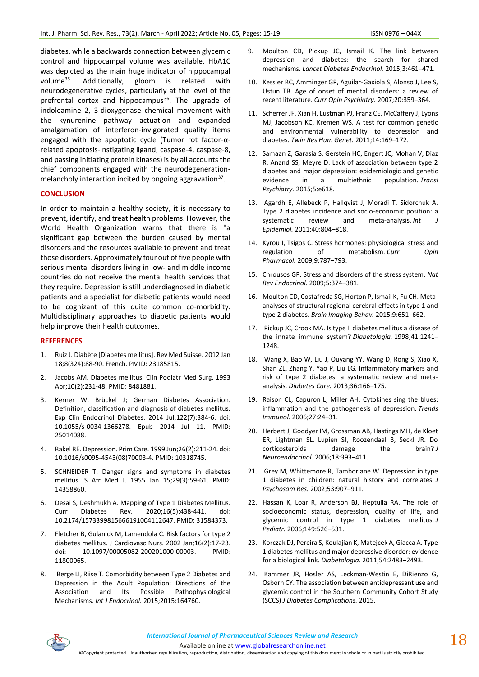diabetes, while a backwards connection between glycemic control and hippocampal volume was available. HbA1C was depicted as the main huge indicator of hippocampal volume<sup>35</sup>. Additionally, gloom is related with neurodegenerative cycles, particularly at the level of the prefrontal cortex and hippocampus<sup>36</sup>. The upgrade of indoleamine 2, 3-dioxygenase chemical movement with the kynurenine pathway actuation and expanded amalgamation of interferon-invigorated quality items engaged with the apoptotic cycle (Tumor rot factor-αrelated apoptosis-instigating ligand, caspase-4, caspase-8, and passing initiating protein kinases) is by all accounts the chief components engaged with the neurodegenerationmelancholy interaction incited by ongoing aggravation<sup>37</sup>.

## **CONCLUSION**

In order to maintain a healthy society, it is necessary to prevent, identify, and treat health problems. However, the World Health Organization warns that there is "a significant gap between the burden caused by mental disorders and the resources available to prevent and treat those disorders. Approximately four out of five people with serious mental disorders living in low- and middle income countries do not receive the mental health services that they require. Depression is still underdiagnosed in diabetic patients and a specialist for diabetic patients would need to be cognizant of this quite common co-morbidity. Multidisciplinary approaches to diabetic patients would help improve their health outcomes.

#### **REFERENCES**

- 1. Ruiz J. Diabète [Diabetes mellitus]. Rev Med Suisse. 2012 Jan 18;8(324):88-90. French. PMID: 23185815.
- 2. Jacobs AM. Diabetes mellitus. Clin Podiatr Med Surg. 1993 Apr;10(2):231-48. PMID: 8481881.
- 3. Kerner W, Brückel J; German Diabetes Association. Definition, classification and diagnosis of diabetes mellitus. Exp Clin Endocrinol Diabetes. 2014 Jul;122(7):384-6. doi: 10.1055/s-0034-1366278. Epub 2014 Jul 11. PMID: 25014088.
- 4. Rakel RE. Depression. Prim Care. 1999 Jun;26(2):211-24. doi: 10.1016/s0095-4543(08)70003-4. PMID: 10318745.
- 5. SCHNEIDER T. Danger signs and symptoms in diabetes mellitus. S Afr Med J. 1955 Jan 15;29(3):59-61. PMID: 14358860.
- 6. Desai S, Deshmukh A. Mapping of Type 1 Diabetes Mellitus. Curr Diabetes Rev. 2020;16(5):438-441. doi: 10.2174/1573399815666191004112647. PMID: 31584373.
- 7. Fletcher B, Gulanick M, Lamendola C. Risk factors for type 2 diabetes mellitus. J Cardiovasc Nurs. 2002 Jan;16(2):17-23. doi: 10.1097/00005082-200201000-00003. PMID: 11800065.
- 8. Berge LI, Riise T. Comorbidity between Type 2 Diabetes and Depression in the Adult Population: Directions of the Association and Its Possible Pathophysiological Mechanisms. *Int J Endocrinol.* 2015;2015:164760.
- 9. Moulton CD, Pickup JC, Ismail K. The link between depression and diabetes: the search for shared mechanisms. *Lancet Diabetes Endocrinol.* 2015;3:461–471.
- 10. Kessler RC, Amminger GP, Aguilar-Gaxiola S, Alonso J, Lee S, Ustun TB. Age of onset of mental disorders: a review of recent literature. *Curr Opin Psychiatry.* 2007;20:359–364.
- 11. Scherrer JF, Xian H, Lustman PJ, Franz CE, McCaffery J, Lyons MJ, Jacobson KC, Kremen WS. A test for common genetic and environmental vulnerability to depression and diabetes. *Twin Res Hum Genet.* 2011;14:169–172.
- 12. Samaan Z, Garasia S, Gerstein HC, Engert JC, Mohan V, Diaz R, Anand SS, Meyre D. Lack of association between type 2 diabetes and major depression: epidemiologic and genetic evidence in a multiethnic population. *Transl Psychiatry.* 2015;5:e618.
- 13. Agardh E, Allebeck P, Hallqvist J, Moradi T, Sidorchuk A. Type 2 diabetes incidence and socio-economic position: a systematic review and meta-analysis. *Int J Epidemiol.* 2011;40:804–818.
- 14. Kyrou I, Tsigos C. Stress hormones: physiological stress and regulation of metabolism. *Curr Opin Pharmacol.* 2009;9:787–793.
- 15. Chrousos GP. Stress and disorders of the stress system. *Nat Rev Endocrinol.* 2009;5:374–381.
- 16. Moulton CD, Costafreda SG, Horton P, Ismail K, Fu CH. Metaanalyses of structural regional cerebral effects in type 1 and type 2 diabetes. *Brain Imaging Behav.* 2015;9:651–662.
- 17. Pickup JC, Crook MA. Is type II diabetes mellitus a disease of the innate immune system? *Diabetologia.* 1998;41:1241– 1248.
- 18. Wang X, Bao W, Liu J, Ouyang YY, Wang D, Rong S, Xiao X, Shan ZL, Zhang Y, Yao P, Liu LG. Inflammatory markers and risk of type 2 diabetes: a systematic review and metaanalysis. *Diabetes Care.* 2013;36:166–175.
- 19. Raison CL, Capuron L, Miller AH. Cytokines sing the blues: inflammation and the pathogenesis of depression. *Trends Immunol.* 2006;27:24–31.
- 20. Herbert J, Goodyer IM, Grossman AB, Hastings MH, de Kloet ER, Lightman SL, Lupien SJ, Roozendaal B, Seckl JR. Do corticosteroids damage the brain? *J Neuroendocrinol.* 2006;18:393–411.
- 21. Grey M, Whittemore R, Tamborlane W. Depression in type 1 diabetes in children: natural history and correlates. *J Psychosom Res.* 2002;53:907–911.
- 22. Hassan K, Loar R, Anderson BJ, Heptulla RA. The role of socioeconomic status, depression, quality of life, and glycemic control in type 1 diabetes mellitus. *J Pediatr.* 2006;149:526–531.
- 23. Korczak DJ, Pereira S, Koulajian K, Matejcek A, Giacca A. Type 1 diabetes mellitus and major depressive disorder: evidence for a biological link. *Diabetologia.* 2011;54:2483–2493.
- 24. Kammer JR, Hosler AS, Leckman-Westin E, DiRienzo G, Osborn CY. The association between antidepressant use and glycemic control in the Southern Community Cohort Study (SCCS) *J Diabetes Complications.* 2015.



Available online a[t www.globalresearchonline.net](http://www.globalresearchonline.net/)